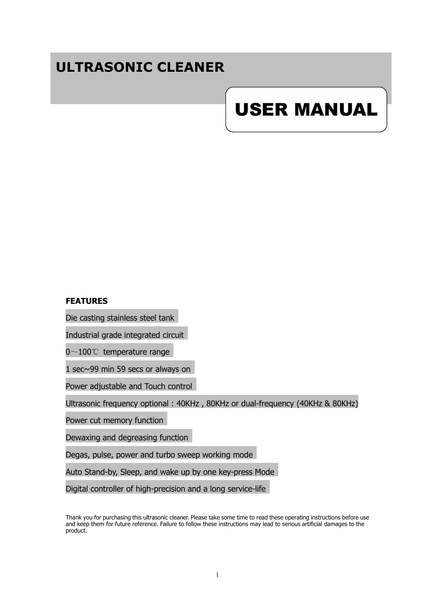# **ULTRASONIC CLEANER**

# USER MANUAL

#### **FEATURES**

Die casting stainless steel tank

Industrial grade integrated circuit

0 $\sim$ 100℃ temperature range

1 sec~99 min 59 secs or always on

Power adjustable and Touch control

Ultrasonic frequency optional : 40KHz , 80KHz or dual-frequency (40KHz & 80KHz)

Power cut memory function

Dewaxing and degreasing function

Degas, pulse, power and turbo sweep working mode

Auto Stand-by, Sleep, and wake up by one key-press Mode

Digital controller of high-precision and a long service-life

Thank you for purchasing this ultrasonic cleaner. Please take some time to read these operating instructions before use and keep them for future reference. Failure to follow these instructions may lead to serious artificial damages to the product.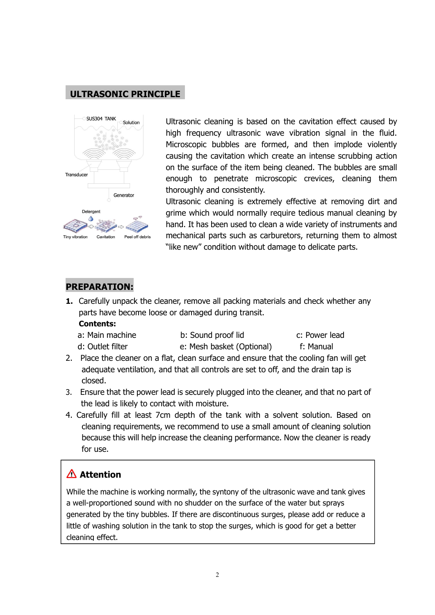# **ULTRASONIC PRINCIPLE**



Ultrasonic cleaning is based on the cavitation effect caused by high frequency ultrasonic wave vibration signal in the fluid. Microscopic bubbles are formed, and then implode violently causing the cavitation which create an intense scrubbing action on the surface of the item being cleaned. The bubbles are small enough to penetrate microscopic crevices, cleaning them thoroughly and consistently.

Ultrasonic cleaning is extremely effective at removing dirt and grime which would normally require tedious manual cleaning by hand. It has been used to clean a wide variety of instruments and mechanical parts such as carburetors, returning them to almost "like new" condition without damage to delicate parts.

## **PREPARATION:**

**1.** Carefully unpack the cleaner, remove all packing materials and check whether any parts have become loose or damaged during transit.

#### **Contents:**

| a: Main machine | b: Sound proof lid | c: Power lead |  |
|-----------------|--------------------|---------------|--|
|-----------------|--------------------|---------------|--|

- d: Outlet filter e: Mesh basket (Optional) f: Manual
- 

- 2. Place the cleaner on a flat, clean surface and ensure that the cooling fan will get adequate ventilation, and that all controls are set to off, and the drain tap is closed.
- 3. Ensure that the power lead is securely plugged into the cleaner, and that no part of the lead is likely to contact with moisture.
- 4. Carefully fill at least 7cm depth of the tank with a solvent solution. Based on cleaning requirements, we recommend to use a small amount of cleaning solution because this will help increase the cleaning performance. Now the cleaner is ready for use.

# **Attention**

While the machine is working normally, the syntony of the ultrasonic wave and tank gives a well-proportioned sound with no shudder on the surface of the water but sprays generated by the tiny bubbles. If there are discontinuous surges, please add or reduce a little of washing solution in the tank to stop the surges, which is good for get a better cleaning effect.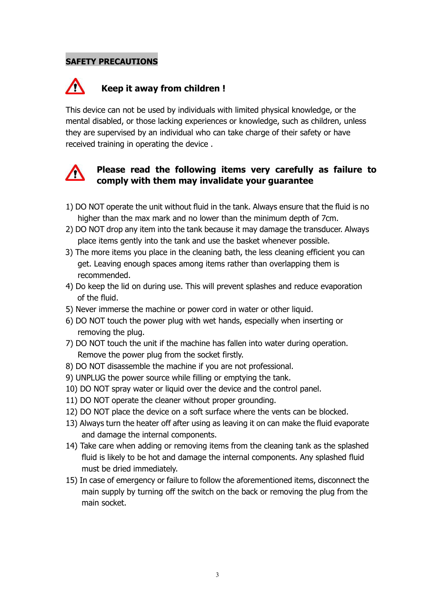#### **SAFETY PRECAUTIONS**

#### Λ **Keep it away from children !**

This device can not be used by individuals with limited physical knowledge, or the mental disabled, or those lacking experiences or knowledge, such as children, unless they are supervised by an individual who can take charge of their safety or have received training in operating the device .



# **Please read the following items very carefully as failure to comply with them may invalidate your guarantee**

- 1) DO NOT operate the unit without fluid in the tank. Always ensure that the fluid is no higher than the max mark and no lower than the minimum depth of 7cm.
- 2) DO NOT drop any item into the tank because it may damage the transducer. Always place items gently into the tank and use the basket whenever possible.
- 3) The more items you place in the cleaning bath, the less cleaning efficient you can get. Leaving enough spaces among items rather than overlapping them is recommended.
- 4) Do keep the lid on during use. This will prevent splashes and reduce evaporation of the fluid.
- 5) Never immerse the machine or power cord in water or other liquid.
- 6) DO NOT touch the power plug with wet hands, especially when inserting or removing the plug.
- 7) DO NOT touch the unit if the machine has fallen into water during operation.<br>Remove the power plug from the socket firstly.
- 8) DO NOT disassemble the machine if you are not professional.
- 9) UNPLUG the power source while filling or emptying the tank.
- 10) DO NOT spray water or liquid over the device and the control panel.
- 11) DO NOT operate the cleaner without proper grounding.
- 12) DO NOT place the device on a soft surface where the vents can be blocked.
- 13) Always turn the heater off after using as leaving it on can make the fluid evaporate and damage the internal components.
- 14) Take care when adding or removing items from the cleaning tank as the splashed fluid is likely to be hot and damage the internal components. Any splashed fluid must be dried immediately.
- 15) In case of emergency or failure to follow the aforementioned items, disconnect the main supply by turning off the switch on the back or removing the plug from the main socket.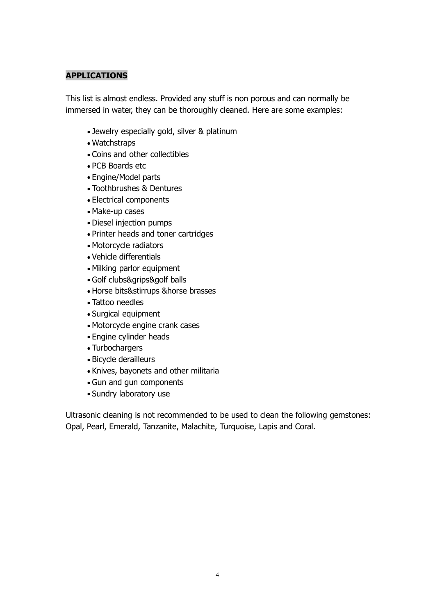#### **APPLICATIONS**

This list is almost endless. Provided any stuff is non porous and can normally be immersed in water, they can be thoroughly cleaned. Here are some examples:

- Jewelry especially gold, silver & platinum
- Watchstraps
- Coins and other collectibles
- PCB Boards etc
- Engine/Model parts
- Toothbrushes & Dentures
- Electrical components
- Make-up cases
- Diesel injection pumps
- Printer heads and toner cartridges
- Motorcycle radiators
- Vehicle differentials
- Milking parlor equipment
- Golf clubs&grips&golf balls
- Horse bits&stirrups &horse brasses
- Tattoo needles
- Surgical equipment
- Motorcycle engine crank cases
- Engine cylinder heads
- Turbochargers
- Bicycle derailleurs
- Knives, bayonets and other militaria
- Gun and gun components
- Sundry laboratory use

Ultrasonic cleaning is not recommended to be used to clean the following gemstones: Opal, Pearl, Emerald, Tanzanite, Malachite, Turquoise, Lapis and Coral.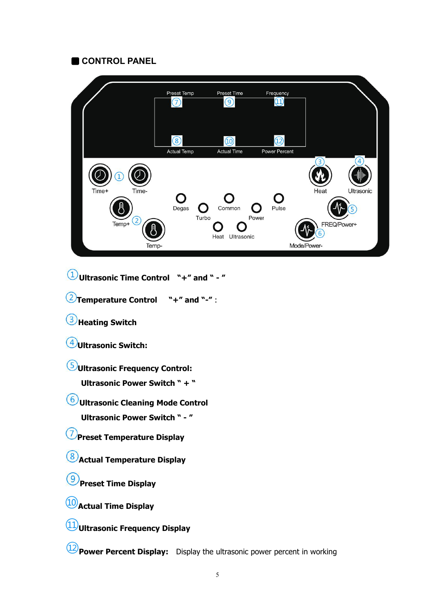## **CONTROL PANEL**



 $(1)$ **Ultrasonic Time Control "+" and " - "**

**Temperature Control "+" and "-"** :

**Heating Switch**

**Ultrasonic Switch:**

**Ultrasonic Frequency Control:**

**Ultrasonic Power Switch " + "**

**Ultrasonic Cleaning Mode Control**

**Ultrasonic Power Switch " - "**

**Preset Temperature Display**

**Actual Temperature Display**

**Preset Time Display**

**Actual Time Display**

**Ultrasonic Frequency Display**

**Power Percent Display:** Display the ultrasonic power percent in working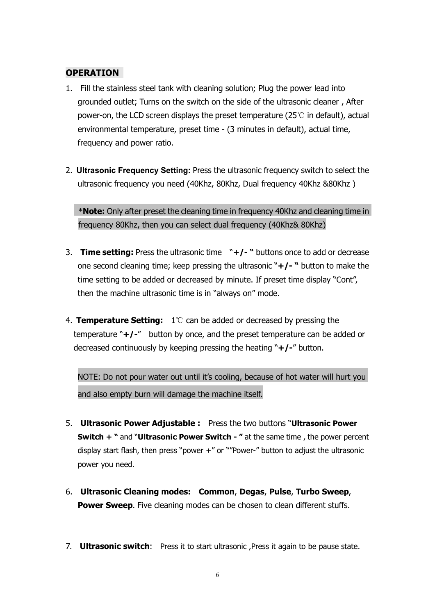#### **OPERATION**

- 1. Fill the stainless steel tank with cleaning solution; Plug the power lead into grounded outlet; Turns on the switch on the side of the ultrasonic cleaner , After power-on, the LCD screen displays the preset temperature (25℃ in default), actual environmental temperature, preset time - (3 minutes in default), actual time, frequency and power ratio.
- 2. **Ultrasonic Frequency Setting:** Press the ultrasonic frequency switch to select the ultrasonic frequency you need (40Khz, 80Khz, Dual frequency 40Khz &80Khz)

\***Note:** Only after preset the cleaning time in frequency 40Khz and cleaning time in frequency 80Khz, then you can select dual frequency (40Khz& 80Khz)

- 3. **Time setting:** Press the ultrasonic time "**+/- "** buttons once to add or decrease one second cleaning time; keep pressing the ultrasonic "**+/- "** button to make the time setting to be added or decreased by minute. If preset time display "Cont", then the machine ultrasonic time is in "always on" mode.
- 4. **Temperature Setting:** 1℃ can be added or decreased by pressing the temperature "**+/-**" button by once, and the preset temperature can be added or decreased continuously by keeping pressing the heating "**+/-**"button.

NOTE: Do not pour water out until it's cooling, because of hot water will hurt you and also empty burn will damage the machine itself.

- 5. **Ultrasonic Power Adjustable :** Press the two buttons "**Ultrasonic Power Switch + "** and "**Ultrasonic Power Switch - "** atthe same time , the power percent display start flash, then press "power  $+$ " or ""Power-" button to adjust the ultrasonic power you need.
- 6. **Ultrasonic Cleaning modes: Common**, **Degas**, **Pulse**, **Turbo Sweep**, **Power Sweep**. Five cleaning modes can be chosen to clean different stuffs.
- 7. **Ultrasonic switch**: Press it to start ultrasonic ,Press it again to be pause state.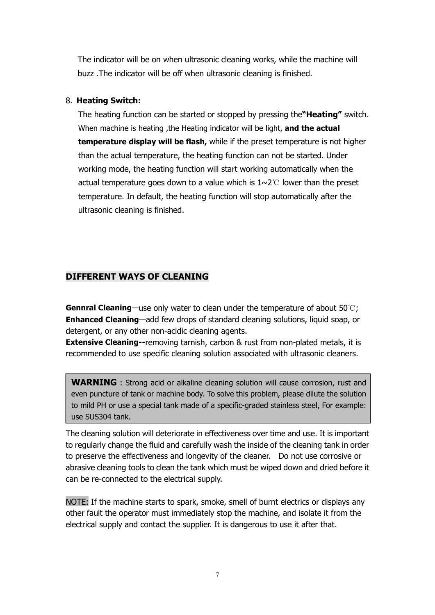The indicator will be on when ultrasonic cleaning works, while the machine will buzz .The indicator will be off when ultrasonic cleaning is finished.

#### 8. **Heating Switch:**

The heating function can be started or stopped by pressing the**"Heating"** switch. When machine is heating ,the Heating indicator will be light, **and the actual temperature display will be flash,** while if the preset temperature is not higher than the actual temperature, the heating function can not be started. Under working mode, the heating function will start working automatically when the actual temperature goes down to a value which is 1~2℃ lower than the preset temperature. In default, the heating function will stop automatically after the ultrasonic cleaning is finished.

# **DIFFERENT WAYS OF CLEANING**

**Gennral Cleaning**—use only water to clean under the temperature of about 50℃; **Enhanced Cleaning**—add few drops of standard cleaning solutions, liquid soap, or detergent, or any other non-acidic cleaning agents.

**Extensive Cleaning--**removing tarnish, carbon & rust from non-plated metals, it is recommended to use specific cleaning solution associated with ultrasonic cleaners.

**WARNING** : Strong acid or alkaline cleaning solution will cause corrosion, rust and even puncture of tank or machine body. To solve this problem, please dilute the solution to mild PH or use a special tank made of a specific-graded stainless steel, For example: use SUS304 tank.

The cleaning solution will deteriorate in effectiveness over time and use. It is important to regularly change the fluid and carefully wash the inside of the cleaning tank in order to preserve the effectiveness and longevity of the cleaner. Do not use corrosive or abrasive cleaning tools to clean the tank which must be wiped down and dried before it can be re-connected to the electrical supply.

NOTE: If the machine starts to spark, smoke, smell of burnt electrics or displays any other fault the operator must immediately stop the machine, and isolate it from the electrical supply and contact the supplier. It is dangerous to use it after that.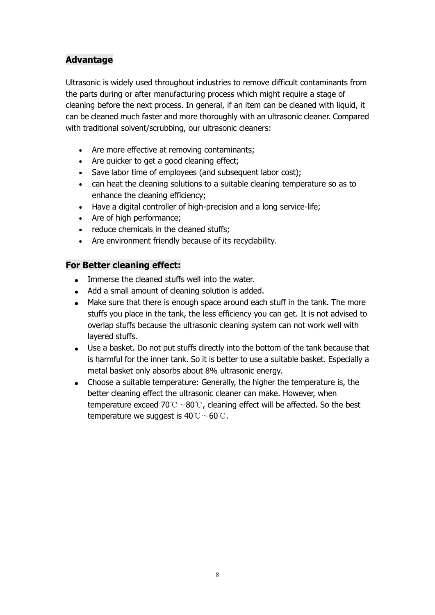# **Advantage**

Ultrasonic is widely used throughout industries to remove difficult contaminants from the parts during or after manufacturing process which might require a stage of cleaning before the next process. In general, if an item can be cleaned with liquid, it can be cleaned much faster and more thoroughly with an ultrasonic cleaner. Compared with traditional solvent/scrubbing, our ultrasonic cleaners:

- Are more effective at removing contaminants;
- Are quicker to get a good cleaning effect;
- Save labor time of employees (and subsequent labor cost);
- can heat the cleaning solutions to a suitable cleaning temperature so as to enhance the cleaning efficiency;
- Have a digital controller of high-precision and a long service-life;
- Are of high performance;
- reduce chemicals in the cleaned stuffs;
- Are environment friendly because of its recyclability.

#### **For Better cleaning effect:**

- Immerse the cleaned stuffs well into the water.
- Add a small amount of cleaning solution is added.
- Make sure that there is enough space around each stuff in the tank. The more stuffs you place in the tank, the less efficiency you can get. It is not advised to overlap stuffs because the ultrasonic cleaning system can not work well with layered stuffs.
- Use a basket. Do not put stuffs directly into the bottom of the tank because that is harmful for the inner tank. So it is better to use a suitable basket. Especially a metal basket only absorbs about 8% ultrasonic energy.
- Choose a suitable temperature: Generally, the higher the temperature is, the better cleaning effect the ultrasonic cleaner can make. However, when temperature exceed 70℃~80℃, cleaning effect will be affected. So the best temperature we suggest is  $40^{\circ}$ C $\sim$ 60°C.